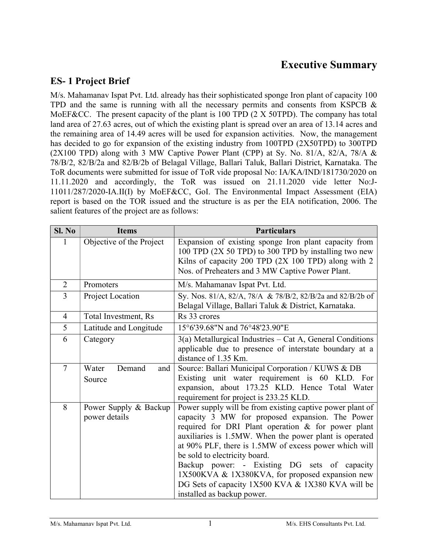# Executive Summary

### ES- 1 Project Brief

M/s. Mahamanav Ispat Pvt. Ltd. already has their sophisticated sponge Iron plant of capacity 100 TPD and the same is running with all the necessary permits and consents from KSPCB & MoEF&CC. The present capacity of the plant is 100 TPD (2 X 50TPD). The company has total land area of 27.63 acres, out of which the existing plant is spread over an area of 13.14 acres and the remaining area of 14.49 acres will be used for expansion activities. Now, the management has decided to go for expansion of the existing industry from 100TPD (2X50TPD) to 300TPD (2X100 TPD) along with 3 MW Captive Power Plant (CPP) at Sy. No. 81/A, 82/A, 78/A  $\&$ 78/B/2, 82/B/2a and 82/B/2b of Belagal Village, Ballari Taluk, Ballari District, Karnataka. The ToR documents were submitted for issue of ToR vide proposal No: IA/KA/IND/181730/2020 on 11.11.2020 and accordingly, the ToR was issued on 21.11.2020 vide letter No:J-11011/287/2020-IA.II(I) by MoEF&CC, GoI. The Environmental Impact Assessment (EIA) report is based on the TOR issued and the structure is as per the EIA notification, 2006. The salient features of the project are as follows:

| SI. No         | <b>Items</b>                           | <b>Particulars</b>                                                                                                                                                                                                                                                                                                                                                                                                                                                                                           |
|----------------|----------------------------------------|--------------------------------------------------------------------------------------------------------------------------------------------------------------------------------------------------------------------------------------------------------------------------------------------------------------------------------------------------------------------------------------------------------------------------------------------------------------------------------------------------------------|
| $\mathbf{1}$   | Objective of the Project               | Expansion of existing sponge Iron plant capacity from<br>100 TPD (2X 50 TPD) to 300 TPD by installing two new<br>Kilns of capacity 200 TPD (2X 100 TPD) along with 2<br>Nos. of Preheaters and 3 MW Captive Power Plant.                                                                                                                                                                                                                                                                                     |
| $\overline{2}$ | Promoters                              | M/s. Mahamanav Ispat Pvt. Ltd.                                                                                                                                                                                                                                                                                                                                                                                                                                                                               |
| 3              | Project Location                       | Sy. Nos. 81/A, 82/A, 78/A & 78/B/2, 82/B/2a and 82/B/2b of<br>Belagal Village, Ballari Taluk & District, Karnataka.                                                                                                                                                                                                                                                                                                                                                                                          |
| $\overline{4}$ | Total Investment, Rs                   | Rs 33 crores                                                                                                                                                                                                                                                                                                                                                                                                                                                                                                 |
| 5              | Latitude and Longitude                 | 15°6'39.68"N and 76°48'23.90"E                                                                                                                                                                                                                                                                                                                                                                                                                                                                               |
| 6              | Category                               | $3(a)$ Metallurgical Industries – Cat A, General Conditions<br>applicable due to presence of interstate boundary at a<br>distance of 1.35 Km.                                                                                                                                                                                                                                                                                                                                                                |
| $\overline{7}$ | Demand<br>Water<br>and<br>Source       | Source: Ballari Municipal Corporation / KUWS & DB<br>Existing unit water requirement is 60 KLD. For<br>expansion, about 173.25 KLD. Hence Total Water<br>requirement for project is 233.25 KLD.                                                                                                                                                                                                                                                                                                              |
| 8              | Power Supply & Backup<br>power details | Power supply will be from existing captive power plant of<br>capacity 3 MW for proposed expansion. The Power<br>required for DRI Plant operation & for power plant<br>auxiliaries is 1.5MW. When the power plant is operated<br>at 90% PLF, there is 1.5MW of excess power which will<br>be sold to electricity board.<br>Backup power: - Existing DG sets of capacity<br>1X500KVA & 1X380KVA, for proposed expansion new<br>DG Sets of capacity 1X500 KVA & 1X380 KVA will be<br>installed as backup power. |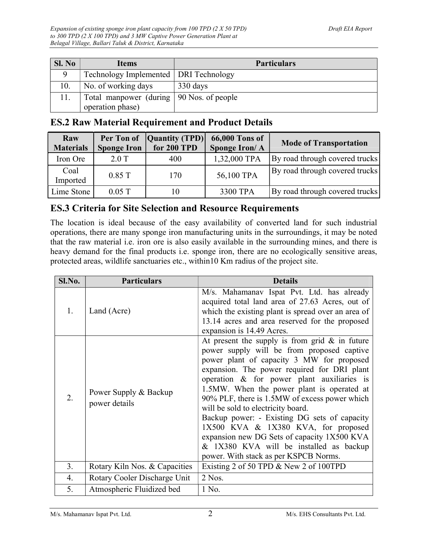| SI. No | <b>Items</b>                               | <b>Particulars</b> |
|--------|--------------------------------------------|--------------------|
|        | Technology Implemented   DRI Technology    |                    |
| 10.    | No. of working days                        | 330 days           |
| 11.    | Total manpower (during   90 Nos. of people |                    |
|        | operation phase)                           |                    |

# ES.2 Raw Material Requirement and Product Details

| Raw<br><b>Materials</b> | <b>Sponge Iron</b> | Per Ton of  Quantity (TPD) <br>for 200 TPD | <b>66,000 Tons of</b><br>Sponge Iron/A | <b>Mode of Transportation</b>  |
|-------------------------|--------------------|--------------------------------------------|----------------------------------------|--------------------------------|
| Iron Ore                | $2.0$ T            | 400                                        | 1,32,000 TPA                           | By road through covered trucks |
| Coal<br>Imported        | $0.85$ T           | 170                                        | 56,100 TPA                             | By road through covered trucks |
| Lime Stone              | $0.05$ T           | 10                                         | 3300 TPA                               | By road through covered trucks |

### ES.3 Criteria for Site Selection and Resource Requirements

The location is ideal because of the easy availability of converted land for such industrial operations, there are many sponge iron manufacturing units in the surroundings, it may be noted that the raw material i.e. iron ore is also easily available in the surrounding mines, and there is heavy demand for the final products i.e. sponge iron, there are no ecologically sensitive areas, protected areas, wildlife sanctuaries etc., within10 Km radius of the project site.

| Sl.No. | <b>Particulars</b>                     | <b>Details</b>                                                                                                                                                                                                                                                                                                                                                                                                                                                                                                                                                                                          |
|--------|----------------------------------------|---------------------------------------------------------------------------------------------------------------------------------------------------------------------------------------------------------------------------------------------------------------------------------------------------------------------------------------------------------------------------------------------------------------------------------------------------------------------------------------------------------------------------------------------------------------------------------------------------------|
| 1.     | Land (Acre)                            | M/s. Mahamanav Ispat Pvt. Ltd. has already<br>acquired total land area of 27.63 Acres, out of<br>which the existing plant is spread over an area of<br>13.14 acres and area reserved for the proposed<br>expansion is 14.49 Acres.                                                                                                                                                                                                                                                                                                                                                                      |
| 2.     | Power Supply & Backup<br>power details | At present the supply is from grid $&$ in future<br>power supply will be from proposed captive<br>power plant of capacity 3 MW for proposed<br>expansion. The power required for DRI plant<br>operation & for power plant auxiliaries is<br>1.5MW. When the power plant is operated at<br>90% PLF, there is 1.5MW of excess power which<br>will be sold to electricity board.<br>Backup power: - Existing DG sets of capacity<br>1X500 KVA & 1X380 KVA, for proposed<br>expansion new DG Sets of capacity 1X500 KVA<br>& 1X380 KVA will be installed as backup<br>power. With stack as per KSPCB Norms. |
| 3.     | Rotary Kiln Nos. & Capacities          | Existing 2 of 50 TPD & New 2 of 100TPD                                                                                                                                                                                                                                                                                                                                                                                                                                                                                                                                                                  |
| 4.     | Rotary Cooler Discharge Unit           | $2$ Nos.                                                                                                                                                                                                                                                                                                                                                                                                                                                                                                                                                                                                |
| 5.     | Atmospheric Fluidized bed              | 1 No.                                                                                                                                                                                                                                                                                                                                                                                                                                                                                                                                                                                                   |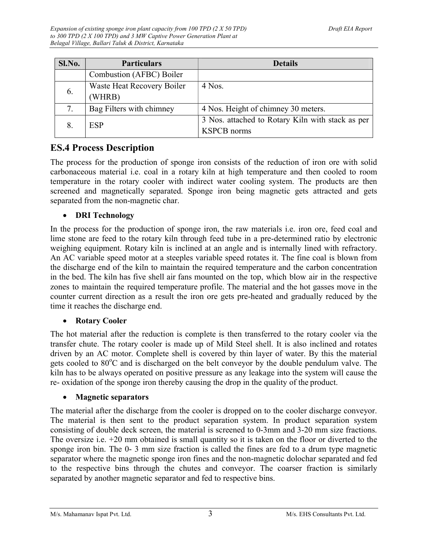| Sl.No. | <b>Particulars</b>                   | <b>Details</b>                                                         |
|--------|--------------------------------------|------------------------------------------------------------------------|
|        | Combustion (AFBC) Boiler             |                                                                        |
| 6.     | Waste Heat Recovery Boiler<br>(WHRB) | $4$ Nos.                                                               |
| 7.     | Bag Filters with chimney             | 4 Nos. Height of chimney 30 meters.                                    |
|        | <b>ESP</b>                           | 3 Nos. attached to Rotary Kiln with stack as per<br><b>KSPCB</b> norms |

# ES.4 Process Description

The process for the production of sponge iron consists of the reduction of iron ore with solid carbonaceous material i.e. coal in a rotary kiln at high temperature and then cooled to room temperature in the rotary cooler with indirect water cooling system. The products are then screened and magnetically separated. Sponge iron being magnetic gets attracted and gets separated from the non-magnetic char.

#### • DRI Technology

In the process for the production of sponge iron, the raw materials i.e. iron ore, feed coal and lime stone are feed to the rotary kiln through feed tube in a pre-determined ratio by electronic weighing equipment. Rotary kiln is inclined at an angle and is internally lined with refractory. An AC variable speed motor at a steeples variable speed rotates it. The fine coal is blown from the discharge end of the kiln to maintain the required temperature and the carbon concentration in the bed. The kiln has five shell air fans mounted on the top, which blow air in the respective zones to maintain the required temperature profile. The material and the hot gasses move in the counter current direction as a result the iron ore gets pre-heated and gradually reduced by the time it reaches the discharge end.

#### • Rotary Cooler

The hot material after the reduction is complete is then transferred to the rotary cooler via the transfer chute. The rotary cooler is made up of Mild Steel shell. It is also inclined and rotates driven by an AC motor. Complete shell is covered by thin layer of water. By this the material gets cooled to  $80^{\circ}$ C and is discharged on the belt conveyor by the double pendulum valve. The kiln has to be always operated on positive pressure as any leakage into the system will cause the re- oxidation of the sponge iron thereby causing the drop in the quality of the product.

#### Magnetic separators

The material after the discharge from the cooler is dropped on to the cooler discharge conveyor. The material is then sent to the product separation system. In product separation system consisting of double deck screen, the material is screened to 0-3mm and 3-20 mm size fractions. The oversize i.e. +20 mm obtained is small quantity so it is taken on the floor or diverted to the sponge iron bin. The 0- 3 mm size fraction is called the fines are fed to a drum type magnetic separator where the magnetic sponge iron fines and the non-magnetic dolochar separated and fed to the respective bins through the chutes and conveyor. The coarser fraction is similarly separated by another magnetic separator and fed to respective bins.

M/s. Mahamanav Ispat Pvt. Ltd.  $\frac{3}{3}$  M/s. EHS Consultants Pvt. Ltd.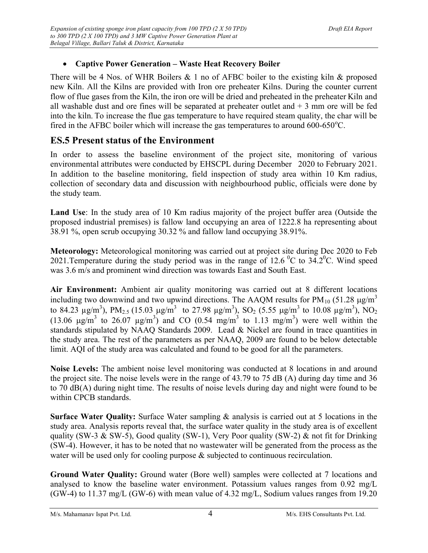#### Captive Power Generation – Waste Heat Recovery Boiler

There will be 4 Nos. of WHR Boilers  $& 1$  no of AFBC boiler to the existing kiln  $&$  proposed new Kiln. All the Kilns are provided with Iron ore preheater Kilns. During the counter current flow of flue gases from the Kiln, the iron ore will be dried and preheated in the preheater Kiln and all washable dust and ore fines will be separated at preheater outlet and  $+3$  mm ore will be fed into the kiln. To increase the flue gas temperature to have required steam quality, the char will be fired in the AFBC boiler which will increase the gas temperatures to around  $600-650^{\circ}$ C.

## ES.5 Present status of the Environment

In order to assess the baseline environment of the project site, monitoring of various environmental attributes were conducted by EHSCPL during December 2020 to February 2021. In addition to the baseline monitoring, field inspection of study area within 10 Km radius, collection of secondary data and discussion with neighbourhood public, officials were done by the study team.

Land Use: In the study area of 10 Km radius majority of the project buffer area (Outside the proposed industrial premises) is fallow land occupying an area of 1222.8 ha representing about 38.91 %, open scrub occupying 30.32 % and fallow land occupying 38.91%.

Meteorology: Meteorological monitoring was carried out at project site during Dec 2020 to Feb 2021. Temperature during the study period was in the range of 12.6<sup>o</sup>C to 34.2<sup>o</sup>C. Wind speed was 3.6 m/s and prominent wind direction was towards East and South East.

Air Environment: Ambient air quality monitoring was carried out at 8 different locations including two downwind and two upwind directions. The AAQM results for  $PM_{10}$  (51.28  $\mu$ g/m<sup>3</sup> to 84.23  $\mu$ g/m<sup>3</sup>), PM<sub>2.5</sub> (15.03  $\mu$ g/m<sup>3</sup> to 27.98  $\mu$ g/m<sup>3</sup>), SO<sub>2</sub> (5.55  $\mu$ g/m<sup>3</sup> to 10.08  $\mu$ g/m<sup>3</sup>), NO<sub>2</sub> (13.06  $\mu$ g/m<sup>3</sup> to 26.07  $\mu$ g/m<sup>3</sup>) and CO (0.54 mg/m<sup>3</sup> to 1.13 mg/m<sup>3</sup>) were well within the standards stipulated by NAAQ Standards 2009. Lead & Nickel are found in trace quantities in the study area. The rest of the parameters as per NAAQ, 2009 are found to be below detectable limit. AQI of the study area was calculated and found to be good for all the parameters.

Noise Levels: The ambient noise level monitoring was conducted at 8 locations in and around the project site. The noise levels were in the range of 43.79 to 75 dB (A) during day time and 36 to 70 dB(A) during night time. The results of noise levels during day and night were found to be within CPCB standards.

Surface Water Quality: Surface Water sampling & analysis is carried out at 5 locations in the study area. Analysis reports reveal that, the surface water quality in the study area is of excellent quality (SW-3 & SW-5), Good quality (SW-1), Very Poor quality (SW-2) & not fit for Drinking (SW-4). However, it has to be noted that no wastewater will be generated from the process as the water will be used only for cooling purpose & subjected to continuous recirculation.

Ground Water Quality: Ground water (Bore well) samples were collected at 7 locations and analysed to know the baseline water environment. Potassium values ranges from 0.92 mg/L (GW-4) to 11.37 mg/L (GW-6) with mean value of 4.32 mg/L, Sodium values ranges from 19.20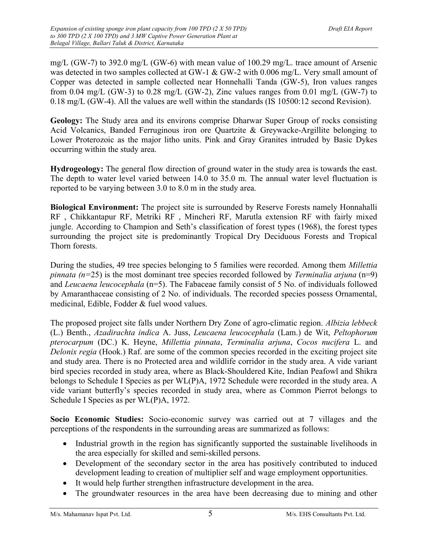mg/L (GW-7) to 392.0 mg/L (GW-6) with mean value of 100.29 mg/L. trace amount of Arsenic was detected in two samples collected at GW-1 & GW-2 with 0.006 mg/L. Very small amount of Copper was detected in sample collected near Honnehalli Tanda (GW-5), Iron values ranges from 0.04 mg/L (GW-3) to 0.28 mg/L (GW-2), Zinc values ranges from 0.01 mg/L (GW-7) to 0.18 mg/L (GW-4). All the values are well within the standards (IS 10500:12 second Revision).

Geology: The Study area and its environs comprise Dharwar Super Group of rocks consisting Acid Volcanics, Banded Ferruginous iron ore Quartzite & Greywacke-Argillite belonging to Lower Proterozoic as the major litho units. Pink and Gray Granites intruded by Basic Dykes occurring within the study area.

Hydrogeology: The general flow direction of ground water in the study area is towards the east. The depth to water level varied between 14.0 to 35.0 m. The annual water level fluctuation is reported to be varying between 3.0 to 8.0 m in the study area.

Biological Environment: The project site is surrounded by Reserve Forests namely Honnahalli RF , Chikkantapur RF, Metriki RF , Mincheri RF, Marutla extension RF with fairly mixed jungle. According to Champion and Seth's classification of forest types (1968), the forest types surrounding the project site is predominantly Tropical Dry Deciduous Forests and Tropical Thorn forests.

During the studies, 49 tree species belonging to 5 families were recorded. Among them Millettia pinnata ( $n=25$ ) is the most dominant tree species recorded followed by *Terminalia arjuna* ( $n=9$ ) and Leucaena leucocephala (n=5). The Fabaceae family consist of 5 No. of individuals followed by Amaranthaceae consisting of 2 No. of individuals. The recorded species possess Ornamental, medicinal, Edible, Fodder & fuel wood values.

The proposed project site falls under Northern Dry Zone of agro-climatic region. Albizia lebbeck (L.) Benth., Azadirachta indica A. Juss, Leucaena leucocephala (Lam.) de Wit, Peltophorum pterocarpum (DC.) K. Heyne, Millettia pinnata, Terminalia arjuna, Cocos nucifera L. and Delonix regia (Hook.) Raf. are some of the common species recorded in the exciting project site and study area. There is no Protected area and wildlife corridor in the study area. A vide variant bird species recorded in study area, where as Black-Shouldered Kite, Indian Peafowl and Shikra belongs to Schedule I Species as per WL(P)A, 1972 Schedule were recorded in the study area. A vide variant butterfly's species recorded in study area, where as Common Pierrot belongs to Schedule I Species as per WL(P)A, 1972.

Socio Economic Studies: Socio-economic survey was carried out at 7 villages and the perceptions of the respondents in the surrounding areas are summarized as follows:

- Industrial growth in the region has significantly supported the sustainable livelihoods in the area especially for skilled and semi-skilled persons.
- Development of the secondary sector in the area has positively contributed to induced development leading to creation of multiplier self and wage employment opportunities.
- It would help further strengthen infrastructure development in the area.
- The groundwater resources in the area have been decreasing due to mining and other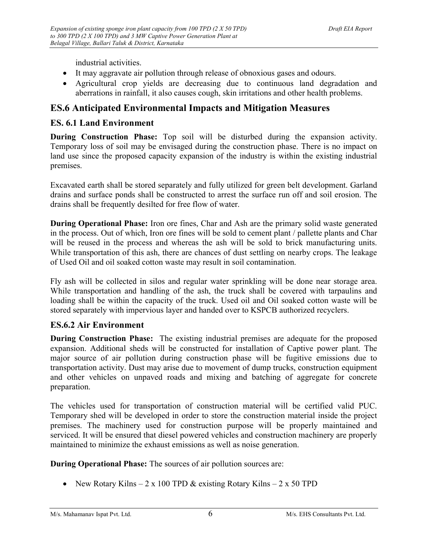industrial activities.

- It may aggravate air pollution through release of obnoxious gases and odours.
- Agricultural crop yields are decreasing due to continuous land degradation and aberrations in rainfall, it also causes cough, skin irritations and other health problems.

# ES.6 Anticipated Environmental Impacts and Mitigation Measures

#### ES. 6.1 Land Environment

During Construction Phase: Top soil will be disturbed during the expansion activity. Temporary loss of soil may be envisaged during the construction phase. There is no impact on land use since the proposed capacity expansion of the industry is within the existing industrial premises.

Excavated earth shall be stored separately and fully utilized for green belt development. Garland drains and surface ponds shall be constructed to arrest the surface run off and soil erosion. The drains shall be frequently desilted for free flow of water.

During Operational Phase: Iron ore fines, Char and Ash are the primary solid waste generated in the process. Out of which, Iron ore fines will be sold to cement plant / pallette plants and Char will be reused in the process and whereas the ash will be sold to brick manufacturing units. While transportation of this ash, there are chances of dust settling on nearby crops. The leakage of Used Oil and oil soaked cotton waste may result in soil contamination.

Fly ash will be collected in silos and regular water sprinkling will be done near storage area. While transportation and handling of the ash, the truck shall be covered with tarpaulins and loading shall be within the capacity of the truck. Used oil and Oil soaked cotton waste will be stored separately with impervious layer and handed over to KSPCB authorized recyclers.

### ES.6.2 Air Environment

During Construction Phase: The existing industrial premises are adequate for the proposed expansion. Additional sheds will be constructed for installation of Captive power plant. The major source of air pollution during construction phase will be fugitive emissions due to transportation activity. Dust may arise due to movement of dump trucks, construction equipment and other vehicles on unpaved roads and mixing and batching of aggregate for concrete preparation.

The vehicles used for transportation of construction material will be certified valid PUC. Temporary shed will be developed in order to store the construction material inside the project premises. The machinery used for construction purpose will be properly maintained and serviced. It will be ensured that diesel powered vehicles and construction machinery are properly maintained to minimize the exhaust emissions as well as noise generation.

During Operational Phase: The sources of air pollution sources are:

• New Rotary Kilns – 2 x 100 TPD & existing Rotary Kilns – 2 x 50 TPD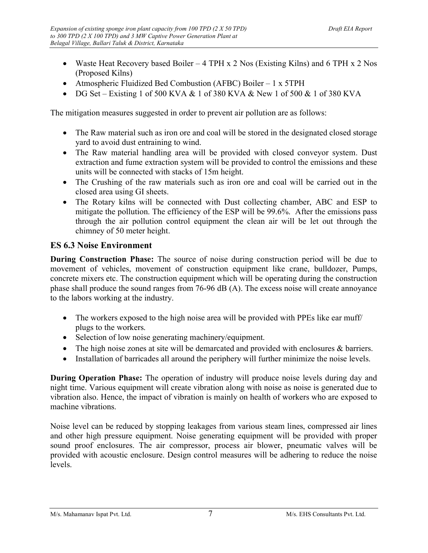- Waste Heat Recovery based Boiler 4 TPH x 2 Nos (Existing Kilns) and 6 TPH x 2 Nos (Proposed Kilns)
- Atmospheric Fluidized Bed Combustion (AFBC) Boiler 1 x 5TPH
- DG Set Existing 1 of 500 KVA & 1 of 380 KVA & New 1 of 500 & 1 of 380 KVA

The mitigation measures suggested in order to prevent air pollution are as follows:

- The Raw material such as iron ore and coal will be stored in the designated closed storage yard to avoid dust entraining to wind.
- The Raw material handling area will be provided with closed conveyor system. Dust extraction and fume extraction system will be provided to control the emissions and these units will be connected with stacks of 15m height.
- The Crushing of the raw materials such as iron ore and coal will be carried out in the closed area using GI sheets.
- The Rotary kilns will be connected with Dust collecting chamber, ABC and ESP to mitigate the pollution. The efficiency of the ESP will be 99.6%. After the emissions pass through the air pollution control equipment the clean air will be let out through the chimney of 50 meter height.

#### ES 6.3 Noise Environment

During Construction Phase: The source of noise during construction period will be due to movement of vehicles, movement of construction equipment like crane, bulldozer, Pumps, concrete mixers etc. The construction equipment which will be operating during the construction phase shall produce the sound ranges from 76-96 dB (A). The excess noise will create annoyance to the labors working at the industry.

- The workers exposed to the high noise area will be provided with PPEs like ear muff/ plugs to the workers.
- Selection of low noise generating machinery/equipment.
- The high noise zones at site will be demarcated and provided with enclosures & barriers.
- Installation of barricades all around the periphery will further minimize the noise levels.

During Operation Phase: The operation of industry will produce noise levels during day and night time. Various equipment will create vibration along with noise as noise is generated due to vibration also. Hence, the impact of vibration is mainly on health of workers who are exposed to machine vibrations.

Noise level can be reduced by stopping leakages from various steam lines, compressed air lines and other high pressure equipment. Noise generating equipment will be provided with proper sound proof enclosures. The air compressor, process air blower, pneumatic valves will be provided with acoustic enclosure. Design control measures will be adhering to reduce the noise levels.

M/s. Mahamanav Ispat Pvt. Ltd.  $\frac{7}{4}$  M/s. EHS Consultants Pvt. Ltd.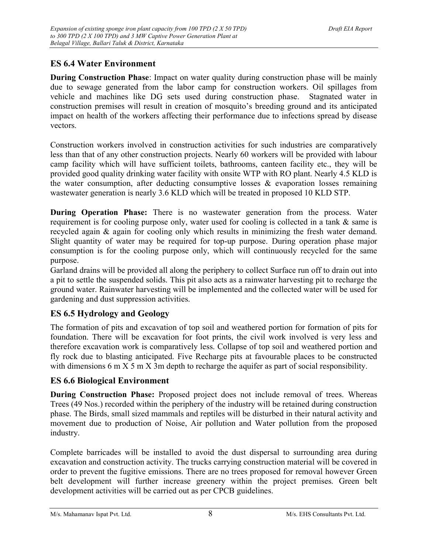### ES 6.4 Water Environment

During Construction Phase: Impact on water quality during construction phase will be mainly due to sewage generated from the labor camp for construction workers. Oil spillages from vehicle and machines like DG sets used during construction phase. Stagnated water in construction premises will result in creation of mosquito's breeding ground and its anticipated impact on health of the workers affecting their performance due to infections spread by disease vectors.

Construction workers involved in construction activities for such industries are comparatively less than that of any other construction projects. Nearly 60 workers will be provided with labour camp facility which will have sufficient toilets, bathrooms, canteen facility etc., they will be provided good quality drinking water facility with onsite WTP with RO plant. Nearly 4.5 KLD is the water consumption, after deducting consumptive losses  $\&$  evaporation losses remaining wastewater generation is nearly 3.6 KLD which will be treated in proposed 10 KLD STP.

During Operation Phase: There is no wastewater generation from the process. Water requirement is for cooling purpose only, water used for cooling is collected in a tank & same is recycled again & again for cooling only which results in minimizing the fresh water demand. Slight quantity of water may be required for top-up purpose. During operation phase major consumption is for the cooling purpose only, which will continuously recycled for the same purpose.

Garland drains will be provided all along the periphery to collect Surface run off to drain out into a pit to settle the suspended solids. This pit also acts as a rainwater harvesting pit to recharge the ground water. Rainwater harvesting will be implemented and the collected water will be used for gardening and dust suppression activities.

### ES 6.5 Hydrology and Geology

The formation of pits and excavation of top soil and weathered portion for formation of pits for foundation. There will be excavation for foot prints, the civil work involved is very less and therefore excavation work is comparatively less. Collapse of top soil and weathered portion and fly rock due to blasting anticipated. Five Recharge pits at favourable places to be constructed with dimensions 6 m X 5 m X 3m depth to recharge the aquifer as part of social responsibility.

### ES 6.6 Biological Environment

During Construction Phase: Proposed project does not include removal of trees. Whereas Trees (49 Nos.) recorded within the periphery of the industry will be retained during construction phase. The Birds, small sized mammals and reptiles will be disturbed in their natural activity and movement due to production of Noise, Air pollution and Water pollution from the proposed industry.

Complete barricades will be installed to avoid the dust dispersal to surrounding area during excavation and construction activity. The trucks carrying construction material will be covered in order to prevent the fugitive emissions. There are no trees proposed for removal however Green belt development will further increase greenery within the project premises. Green belt development activities will be carried out as per CPCB guidelines.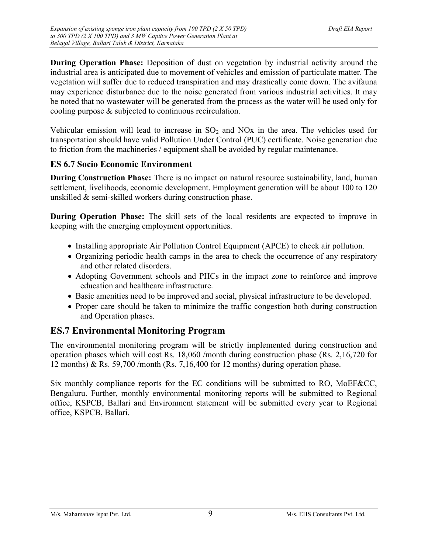During Operation Phase: Deposition of dust on vegetation by industrial activity around the industrial area is anticipated due to movement of vehicles and emission of particulate matter. The vegetation will suffer due to reduced transpiration and may drastically come down. The avifauna may experience disturbance due to the noise generated from various industrial activities. It may be noted that no wastewater will be generated from the process as the water will be used only for cooling purpose & subjected to continuous recirculation.

Vehicular emission will lead to increase in  $SO<sub>2</sub>$  and NOx in the area. The vehicles used for transportation should have valid Pollution Under Control (PUC) certificate. Noise generation due to friction from the machineries / equipment shall be avoided by regular maintenance.

#### ES 6.7 Socio Economic Environment

During Construction Phase: There is no impact on natural resource sustainability, land, human settlement, livelihoods, economic development. Employment generation will be about 100 to 120 unskilled & semi-skilled workers during construction phase.

During Operation Phase: The skill sets of the local residents are expected to improve in keeping with the emerging employment opportunities.

- Installing appropriate Air Pollution Control Equipment (APCE) to check air pollution.
- Organizing periodic health camps in the area to check the occurrence of any respiratory and other related disorders.
- Adopting Government schools and PHCs in the impact zone to reinforce and improve education and healthcare infrastructure.
- Basic amenities need to be improved and social, physical infrastructure to be developed.
- Proper care should be taken to minimize the traffic congestion both during construction and Operation phases.

# ES.7 Environmental Monitoring Program

The environmental monitoring program will be strictly implemented during construction and operation phases which will cost Rs. 18,060 /month during construction phase (Rs. 2,16,720 for 12 months) & Rs. 59,700 /month (Rs. 7,16,400 for 12 months) during operation phase.

Six monthly compliance reports for the EC conditions will be submitted to RO, MoEF&CC, Bengaluru. Further, monthly environmental monitoring reports will be submitted to Regional office, KSPCB, Ballari and Environment statement will be submitted every year to Regional office, KSPCB, Ballari.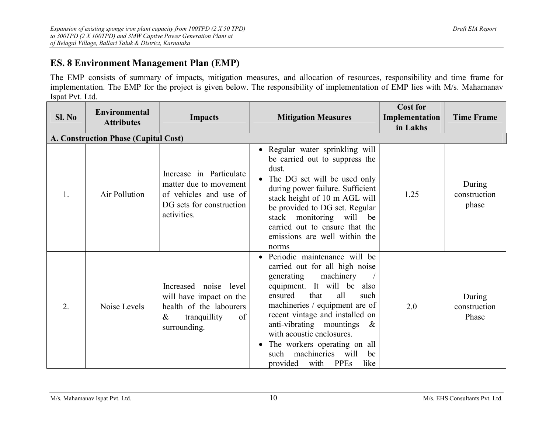# ES. 8 Environment Management Plan (EMP)

The EMP consists of summary of impacts, mitigation measures, and allocation of resources, responsibility and time frame for implementation. The EMP for the project is given below. The responsibility of implementation of EMP lies with M/s. Mahamanav Ispat Pvt. Ltd.

| SL No | Environmental<br><b>Attributes</b>   | <b>Impacts</b>                                                                                                            | <b>Mitigation Measures</b>                                                                                                                                                                                                                                                                                                                                                                                   | <b>Cost for</b><br>Implementation<br>in Lakhs | <b>Time Frame</b>               |  |  |
|-------|--------------------------------------|---------------------------------------------------------------------------------------------------------------------------|--------------------------------------------------------------------------------------------------------------------------------------------------------------------------------------------------------------------------------------------------------------------------------------------------------------------------------------------------------------------------------------------------------------|-----------------------------------------------|---------------------------------|--|--|
|       | A. Construction Phase (Capital Cost) |                                                                                                                           |                                                                                                                                                                                                                                                                                                                                                                                                              |                                               |                                 |  |  |
| 1.    | Air Pollution                        | Increase in Particulate<br>matter due to movement<br>of vehicles and use of<br>DG sets for construction<br>activities.    | • Regular water sprinkling will<br>be carried out to suppress the<br>dust.<br>The DG set will be used only<br>during power failure. Sufficient<br>stack height of 10 m AGL will<br>be provided to DG set. Regular<br>stack monitoring will be<br>carried out to ensure that the<br>emissions are well within the<br>norms                                                                                    | 1.25                                          | During<br>construction<br>phase |  |  |
| 2.    | Noise Levels                         | Increased noise level<br>will have impact on the<br>health of the labourers<br>tranquillity<br>$\&$<br>of<br>surrounding. | Periodic maintenance will be<br>carried out for all high noise<br>generating<br>machinery<br>equipment. It will be also<br>all<br>that<br>ensured<br>such<br>machineries / equipment are of<br>recent vintage and installed on<br>anti-vibrating mountings<br>$\&$<br>with acoustic enclosures.<br>The workers operating on all<br>$\bullet$<br>such machineries will<br>be<br>provided<br>with PPEs<br>like | 2.0                                           | During<br>construction<br>Phase |  |  |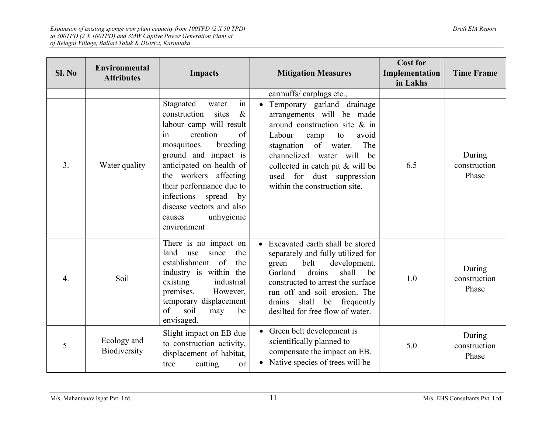| SL No            | <b>Environmental</b><br><b>Attributes</b> | <b>Impacts</b>                                                                                                                                                                                                                                                                                                                             | <b>Mitigation Measures</b>                                                                                                                                                                                                                                                                   | <b>Cost for</b><br>Implementation<br>in Lakhs | <b>Time Frame</b>               |
|------------------|-------------------------------------------|--------------------------------------------------------------------------------------------------------------------------------------------------------------------------------------------------------------------------------------------------------------------------------------------------------------------------------------------|----------------------------------------------------------------------------------------------------------------------------------------------------------------------------------------------------------------------------------------------------------------------------------------------|-----------------------------------------------|---------------------------------|
|                  |                                           |                                                                                                                                                                                                                                                                                                                                            | earmuffs/earplugs etc.,                                                                                                                                                                                                                                                                      |                                               |                                 |
| 3.               | Water quality                             | in<br>Stagnated<br>water<br>construction<br>sites<br>$\&$<br>labour camp will result<br>creation<br>of<br>in<br>breeding<br>mosquitoes<br>ground and impact is<br>anticipated on health of<br>the workers affecting<br>their performance due to<br>infections spread by<br>disease vectors and also<br>unhygienic<br>causes<br>environment | • Temporary garland drainage<br>arrangements will be made<br>around construction site & in<br>Labour<br>avoid<br>camp<br>to<br>stagnation of water.<br>The<br>channelized water will<br>be<br>collected in catch pit & will be<br>used for dust suppression<br>within the construction site. | 6.5                                           | During<br>construction<br>Phase |
| $\overline{4}$ . | Soil                                      | There is no impact on<br>land<br>since<br>the<br>use<br>establishment of<br>the<br>industry is within the<br>industrial<br>existing<br>premises.<br>However,<br>temporary displacement<br>of<br>soil<br>be<br>may<br>envisaged.                                                                                                            | • Excavated earth shall be stored<br>separately and fully utilized for<br>development.<br>green<br>belt<br>Garland<br>drains<br>shall<br>be<br>constructed to arrest the surface<br>run off and soil erosion. The<br>shall be frequently<br>drains<br>desilted for free flow of water.       | 1.0                                           | During<br>construction<br>Phase |
| 5.               | Ecology and<br>Biodiversity               | Slight impact on EB due<br>to construction activity,<br>displacement of habitat,<br>cutting<br>tree<br><b>or</b>                                                                                                                                                                                                                           | • Green belt development is<br>scientifically planned to<br>compensate the impact on EB.<br>• Native species of trees will be                                                                                                                                                                | 5.0                                           | During<br>construction<br>Phase |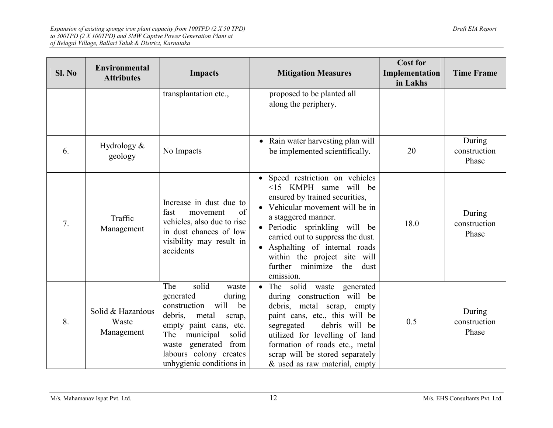|        |                                          |                                                                                                                                                                                                                                               |                                                                                                                                                                                                                                                                                                                                         | <b>Cost for</b>            |                                 |
|--------|------------------------------------------|-----------------------------------------------------------------------------------------------------------------------------------------------------------------------------------------------------------------------------------------------|-----------------------------------------------------------------------------------------------------------------------------------------------------------------------------------------------------------------------------------------------------------------------------------------------------------------------------------------|----------------------------|---------------------------------|
| SI. No | Environmental<br><b>Attributes</b>       | <b>Impacts</b>                                                                                                                                                                                                                                | <b>Mitigation Measures</b>                                                                                                                                                                                                                                                                                                              | Implementation<br>in Lakhs | <b>Time Frame</b>               |
|        |                                          | transplantation etc.,                                                                                                                                                                                                                         | proposed to be planted all<br>along the periphery.                                                                                                                                                                                                                                                                                      |                            |                                 |
| 6.     | Hydrology $&$<br>geology                 | No Impacts                                                                                                                                                                                                                                    | • Rain water harvesting plan will<br>be implemented scientifically.                                                                                                                                                                                                                                                                     | 20                         | During<br>construction<br>Phase |
| 7.     | Traffic<br>Management                    | Increase in dust due to<br>of<br>fast<br>movement<br>vehicles, also due to rise<br>in dust chances of low<br>visibility may result in<br>accidents                                                                                            | · Speed restriction on vehicles<br><15 KMPH same will be<br>ensured by trained securities,<br>• Vehicular movement will be in<br>a staggered manner.<br>· Periodic sprinkling will be<br>carried out to suppress the dust.<br>Asphalting of internal roads<br>within the project site will<br>further minimize the<br>dust<br>emission. | 18.0                       | During<br>construction<br>Phase |
| 8.     | Solid & Hazardous<br>Waste<br>Management | solid<br>The<br>waste<br>generated<br>during<br>will<br>construction<br>be<br>debris,<br>metal<br>scrap,<br>empty paint cans, etc.<br>The<br>municipal<br>solid<br>waste generated from<br>labours colony creates<br>unhygienic conditions in | • The solid waste generated<br>during construction will be<br>debris, metal scrap, empty<br>paint cans, etc., this will be<br>segregated – debris will be<br>utilized for levelling of land<br>formation of roads etc., metal<br>scrap will be stored separately<br>& used as raw material, empty                                       | 0.5                        | During<br>construction<br>Phase |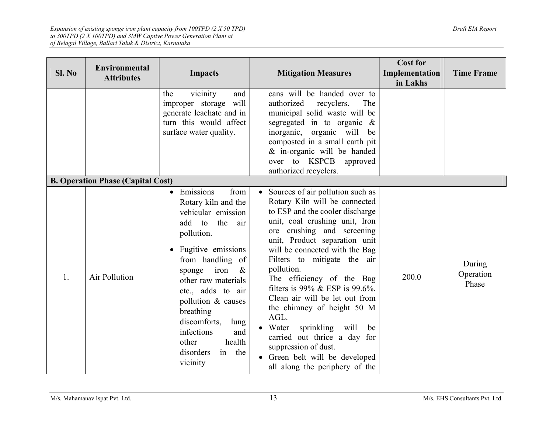| SI. No | <b>Environmental</b><br><b>Attributes</b> | <b>Impacts</b>                                                                                                                                                                                                                                                                                                                                                         | <b>Mitigation Measures</b>                                                                                                                                                                                                                                                                                                                                                                                                                                                                                                                                                                             | <b>Cost for</b><br>Implementation<br>in Lakhs | <b>Time Frame</b>            |
|--------|-------------------------------------------|------------------------------------------------------------------------------------------------------------------------------------------------------------------------------------------------------------------------------------------------------------------------------------------------------------------------------------------------------------------------|--------------------------------------------------------------------------------------------------------------------------------------------------------------------------------------------------------------------------------------------------------------------------------------------------------------------------------------------------------------------------------------------------------------------------------------------------------------------------------------------------------------------------------------------------------------------------------------------------------|-----------------------------------------------|------------------------------|
|        |                                           | vicinity<br>the<br>and<br>improper storage will<br>generate leachate and in<br>turn this would affect<br>surface water quality.                                                                                                                                                                                                                                        | cans will be handed over to<br>authorized<br>recyclers.<br>The<br>municipal solid waste will be<br>segregated in to organic $\&$<br>inorganic, organic will be<br>composted in a small earth pit<br>& in-organic will be handed<br>over to KSPCB approved<br>authorized recyclers.                                                                                                                                                                                                                                                                                                                     |                                               |                              |
|        | <b>B. Operation Phase (Capital Cost)</b>  |                                                                                                                                                                                                                                                                                                                                                                        |                                                                                                                                                                                                                                                                                                                                                                                                                                                                                                                                                                                                        |                                               |                              |
| 1.     | Air Pollution                             | Emissions<br>from<br>$\bullet$<br>Rotary kiln and the<br>vehicular emission<br>add to<br>the<br>air<br>pollution.<br>• Fugitive emissions<br>from handling of<br>sponge iron<br>$\&$<br>other raw materials<br>etc., adds to air<br>pollution & causes<br>breathing<br>discomforts,<br>lung<br>infections<br>and<br>other<br>health<br>in the<br>disorders<br>vicinity | • Sources of air pollution such as<br>Rotary Kiln will be connected<br>to ESP and the cooler discharge<br>unit, coal crushing unit, Iron<br>ore crushing and screening<br>unit, Product separation unit<br>will be connected with the Bag<br>Filters to mitigate the air<br>pollution.<br>The efficiency of the Bag<br>filters is 99% & ESP is 99.6%.<br>Clean air will be let out from<br>the chimney of height 50 M<br>AGL.<br>sprinkling<br>$\bullet$ Water<br>will<br>be<br>carried out thrice a day for<br>suppression of dust.<br>Green belt will be developed<br>all along the periphery of the | 200.0                                         | During<br>Operation<br>Phase |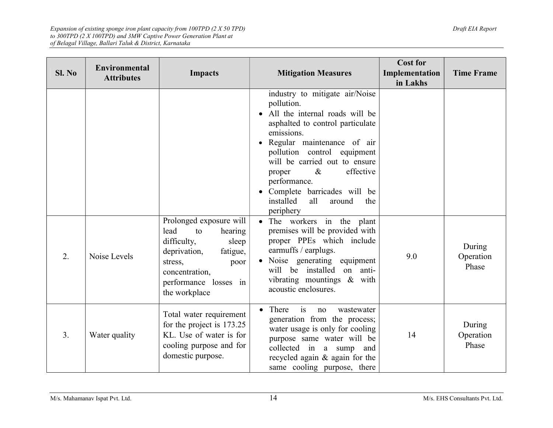| SI. No | <b>Environmental</b><br><b>Attributes</b> | <b>Impacts</b>                                                                                                                                                                      | <b>Mitigation Measures</b>                                                                                                                                                                                                                                                                                                                                     | <b>Cost for</b><br>Implementation<br>in Lakhs | <b>Time Frame</b>            |
|--------|-------------------------------------------|-------------------------------------------------------------------------------------------------------------------------------------------------------------------------------------|----------------------------------------------------------------------------------------------------------------------------------------------------------------------------------------------------------------------------------------------------------------------------------------------------------------------------------------------------------------|-----------------------------------------------|------------------------------|
|        |                                           |                                                                                                                                                                                     | industry to mitigate air/Noise<br>pollution.<br>All the internal roads will be<br>asphalted to control particulate<br>emissions.<br>Regular maintenance of air<br>pollution control equipment<br>will be carried out to ensure<br>effective<br>$\&$<br>proper<br>performance.<br>Complete barricades will be<br>installed<br>all<br>around<br>the<br>periphery |                                               |                              |
| 2.     | Noise Levels                              | Prolonged exposure will<br>lead<br>hearing<br>to<br>difficulty,<br>sleep<br>deprivation,<br>fatigue,<br>stress,<br>poor<br>concentration,<br>performance losses in<br>the workplace | • The workers in the plant<br>premises will be provided with<br>proper PPEs which include<br>earmuffs / earplugs.<br>• Noise generating equipment<br>will be installed<br>on anti-<br>vibrating mountings & with<br>acoustic enclosures.                                                                                                                       | 9.0                                           | During<br>Operation<br>Phase |
| 3.     | Water quality                             | Total water requirement<br>for the project is 173.25<br>KL. Use of water is for<br>cooling purpose and for<br>domestic purpose.                                                     | is<br>• There<br>wastewater<br>no<br>generation from the process;<br>water usage is only for cooling<br>purpose same water will be<br>collected in a sump and<br>recycled again & again for the<br>same cooling purpose, there                                                                                                                                 | 14                                            | During<br>Operation<br>Phase |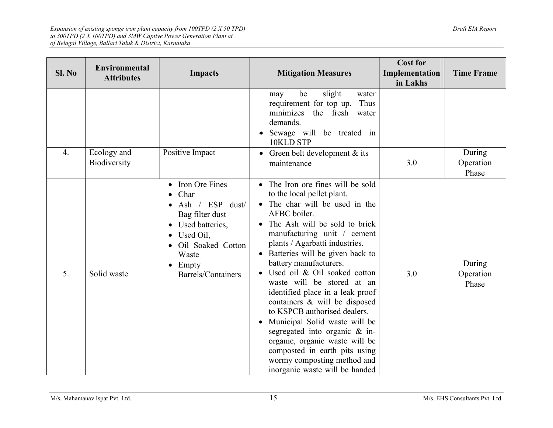| Sl. No           | <b>Environmental</b><br><b>Attributes</b> | <b>Impacts</b>                                                                                                                                            | <b>Mitigation Measures</b>                                                                                                                                                                                                                                                                                                                                                                                                                                                                                                                                                                                                                                                 | <b>Cost for</b><br>Implementation<br>in Lakhs | <b>Time Frame</b>            |
|------------------|-------------------------------------------|-----------------------------------------------------------------------------------------------------------------------------------------------------------|----------------------------------------------------------------------------------------------------------------------------------------------------------------------------------------------------------------------------------------------------------------------------------------------------------------------------------------------------------------------------------------------------------------------------------------------------------------------------------------------------------------------------------------------------------------------------------------------------------------------------------------------------------------------------|-----------------------------------------------|------------------------------|
|                  |                                           |                                                                                                                                                           | slight<br>be<br>water<br>may<br>requirement for top up.<br>Thus<br>minimizes the fresh water<br>demands.<br>Sewage will be treated in<br>10KLD STP                                                                                                                                                                                                                                                                                                                                                                                                                                                                                                                         |                                               |                              |
| $\overline{4}$ . | Ecology and<br>Biodiversity               | Positive Impact                                                                                                                                           | • Green belt development $&$ its<br>maintenance                                                                                                                                                                                                                                                                                                                                                                                                                                                                                                                                                                                                                            | 3.0                                           | During<br>Operation<br>Phase |
| 5.               | Solid waste                               | Iron Ore Fines<br>Char<br>Ash / ESP dust/<br>Bag filter dust<br>Used batteries,<br>Used Oil,<br>Oil Soaked Cotton<br>Waste<br>Empty<br>Barrels/Containers | • The Iron ore fines will be sold<br>to the local pellet plant.<br>• The char will be used in the<br>AFBC boiler.<br>• The Ash will be sold to brick<br>manufacturing unit / cement<br>plants / Agarbatti industries.<br>• Batteries will be given back to<br>battery manufacturers.<br>Used oil & Oil soaked cotton<br>waste will be stored at an<br>identified place in a leak proof<br>containers & will be disposed<br>to KSPCB authorised dealers.<br>Municipal Solid waste will be<br>$\bullet$<br>segregated into organic & in-<br>organic, organic waste will be<br>composted in earth pits using<br>wormy composting method and<br>inorganic waste will be handed | 3.0                                           | During<br>Operation<br>Phase |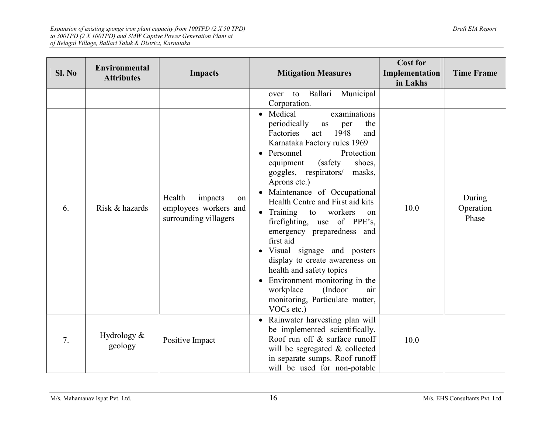| Sl. No | <b>Environmental</b><br><b>Attributes</b> | <b>Impacts</b>                                                            | <b>Mitigation Measures</b>                                                                                                                                                                                                                                                                                                                                                                                                                                                                                                                                                                                                                  | <b>Cost for</b><br>Implementation<br>in Lakhs | <b>Time Frame</b>            |
|--------|-------------------------------------------|---------------------------------------------------------------------------|---------------------------------------------------------------------------------------------------------------------------------------------------------------------------------------------------------------------------------------------------------------------------------------------------------------------------------------------------------------------------------------------------------------------------------------------------------------------------------------------------------------------------------------------------------------------------------------------------------------------------------------------|-----------------------------------------------|------------------------------|
|        |                                           |                                                                           | Ballari<br>Municipal<br>to<br>over<br>Corporation.                                                                                                                                                                                                                                                                                                                                                                                                                                                                                                                                                                                          |                                               |                              |
| 6.     | Risk & hazards                            | Health<br>impacts<br>on<br>employees workers and<br>surrounding villagers | • Medical<br>examinations<br>periodically<br>the<br>as<br>per<br>Factories<br>1948<br>and<br>act<br>Karnataka Factory rules 1969<br>Personnel<br>Protection<br>(safety)<br>equipment<br>shoes,<br>goggles, respirators/<br>masks,<br>Aprons etc.)<br>Maintenance of Occupational<br>Health Centre and First aid kits<br>Training to<br>workers<br>on<br>firefighting, use of PPE's,<br>emergency preparedness and<br>first aid<br>Visual signage and posters<br>display to create awareness on<br>health and safety topics<br>Environment monitoring in the<br>workplace<br>(Indoor<br>air<br>monitoring, Particulate matter,<br>VOCs etc.) | 10.0                                          | During<br>Operation<br>Phase |
| 7.     | Hydrology $&$<br>geology                  | Positive Impact                                                           | Rainwater harvesting plan will<br>be implemented scientifically.<br>Roof run off & surface runoff<br>will be segregated & collected<br>in separate sumps. Roof runoff<br>will be used for non-potable                                                                                                                                                                                                                                                                                                                                                                                                                                       | 10.0                                          |                              |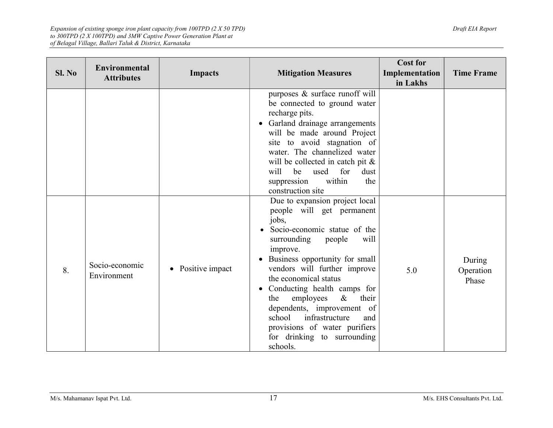| SI. No | <b>Environmental</b><br><b>Attributes</b> | <b>Impacts</b>               | <b>Mitigation Measures</b>                                                                                                                                                                                                                                                                                                                                                                                                  | <b>Cost for</b><br>Implementation<br>in Lakhs | <b>Time Frame</b>            |
|--------|-------------------------------------------|------------------------------|-----------------------------------------------------------------------------------------------------------------------------------------------------------------------------------------------------------------------------------------------------------------------------------------------------------------------------------------------------------------------------------------------------------------------------|-----------------------------------------------|------------------------------|
|        |                                           |                              | purposes & surface runoff will<br>be connected to ground water<br>recharge pits.<br>Garland drainage arrangements<br>will be made around Project<br>site to avoid stagnation of<br>water. The channelized water<br>will be collected in catch pit &<br>be<br>used<br>for<br>will<br>dust<br>within<br>suppression<br>the<br>construction site<br>Due to expansion project local                                             |                                               |                              |
| 8.     | Socio-economic<br>Environment             | Positive impact<br>$\bullet$ | people will get permanent<br>jobs,<br>Socio-economic statue of the<br>surrounding<br>will<br>people<br>improve.<br>Business opportunity for small<br>vendors will further improve<br>the economical status<br>Conducting health camps for<br>employees<br>$\&$<br>their<br>the<br>dependents, improvement of<br>infrastructure<br>school<br>and<br>provisions of water purifiers<br>for drinking to surrounding<br>schools. | 5.0                                           | During<br>Operation<br>Phase |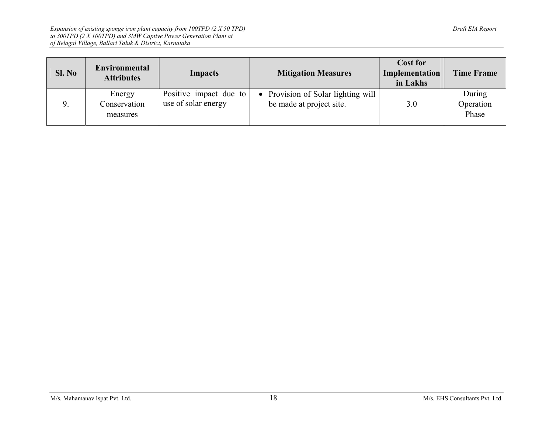| SL No | Environmental<br><b>Attributes</b> | Impacts                                       | <b>Mitigation Measures</b>                                     | <b>Cost for</b><br>Implementation<br>in Lakhs | <b>Time Frame</b>            |
|-------|------------------------------------|-----------------------------------------------|----------------------------------------------------------------|-----------------------------------------------|------------------------------|
|       | Energy<br>Conservation<br>measures | Positive impact due to<br>use of solar energy | • Provision of Solar lighting will<br>be made at project site. | 3.0                                           | During<br>Operation<br>Phase |